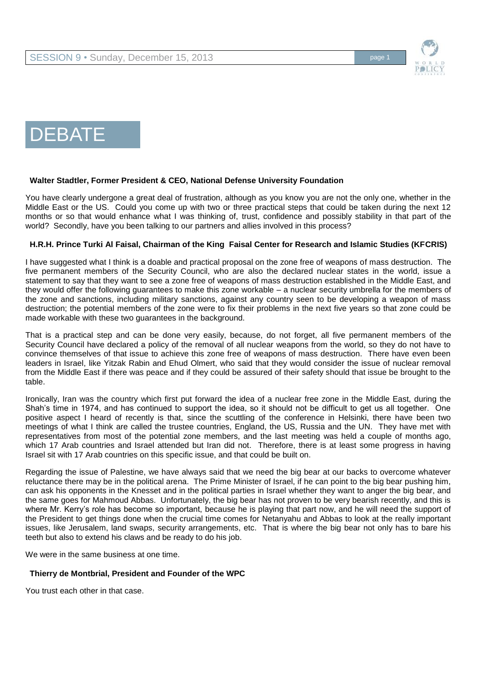

# DEBATE

## **Walter Stadtler, Former President & CEO, National Defense University Foundation**

You have clearly undergone a great deal of frustration, although as you know you are not the only one, whether in the Middle East or the US. Could you come up with two or three practical steps that could be taken during the next 12 months or so that would enhance what I was thinking of, trust, confidence and possibly stability in that part of the world? Secondly, have you been talking to our partners and allies involved in this process?

## **H.R.H. Prince Turki Al Faisal, Chairman of the King Faisal Center for Research and Islamic Studies (KFCRIS)**

I have suggested what I think is a doable and practical proposal on the zone free of weapons of mass destruction. The five permanent members of the Security Council, who are also the declared nuclear states in the world, issue a statement to say that they want to see a zone free of weapons of mass destruction established in the Middle East, and they would offer the following guarantees to make this zone workable – a nuclear security umbrella for the members of the zone and sanctions, including military sanctions, against any country seen to be developing a weapon of mass destruction; the potential members of the zone were to fix their problems in the next five years so that zone could be made workable with these two guarantees in the background.

That is a practical step and can be done very easily, because, do not forget, all five permanent members of the Security Council have declared a policy of the removal of all nuclear weapons from the world, so they do not have to convince themselves of that issue to achieve this zone free of weapons of mass destruction. There have even been leaders in Israel, like Yitzak Rabin and Ehud Olmert, who said that they would consider the issue of nuclear removal from the Middle East if there was peace and if they could be assured of their safety should that issue be brought to the table.

Ironically, Iran was the country which first put forward the idea of a nuclear free zone in the Middle East, during the Shah's time in 1974, and has continued to support the idea, so it should not be difficult to get us all together. One positive aspect I heard of recently is that, since the scuttling of the conference in Helsinki, there have been two meetings of what I think are called the trustee countries, England, the US, Russia and the UN. They have met with representatives from most of the potential zone members, and the last meeting was held a couple of months ago, which 17 Arab countries and Israel attended but Iran did not. Therefore, there is at least some progress in having Israel sit with 17 Arab countries on this specific issue, and that could be built on.

Regarding the issue of Palestine, we have always said that we need the big bear at our backs to overcome whatever reluctance there may be in the political arena. The Prime Minister of Israel, if he can point to the big bear pushing him, can ask his opponents in the Knesset and in the political parties in Israel whether they want to anger the big bear, and the same goes for Mahmoud Abbas. Unfortunately, the big bear has not proven to be very bearish recently, and this is where Mr. Kerry's role has become so important, because he is playing that part now, and he will need the support of the President to get things done when the crucial time comes for Netanyahu and Abbas to look at the really important issues, like Jerusalem, land swaps, security arrangements, etc. That is where the big bear not only has to bare his teeth but also to extend his claws and be ready to do his job.

We were in the same business at one time.

# **Thierry de Montbrial, President and Founder of the WPC**

You trust each other in that case.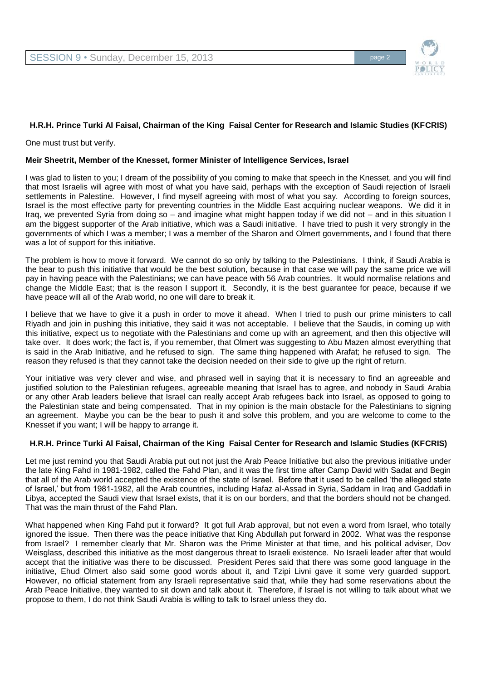

# **H.R.H. Prince Turki Al Faisal, Chairman of the King Faisal Center for Research and Islamic Studies (KFCRIS)**

One must trust but verify.

### **Meir Sheetrit, Member of the Knesset, former Minister of Intelligence Services, Israel**

I was glad to listen to you; I dream of the possibility of you coming to make that speech in the Knesset, and you will find that most Israelis will agree with most of what you have said, perhaps with the exception of Saudi rejection of Israeli settlements in Palestine. However, I find myself agreeing with most of what you say. According to foreign sources, Israel is the most effective party for preventing countries in the Middle East acquiring nuclear weapons. We did it in Iraq, we prevented Syria from doing so – and imagine what might happen today if we did not – and in this situation I am the biggest supporter of the Arab initiative, which was a Saudi initiative. I have tried to push it very strongly in the governments of which I was a member; I was a member of the Sharon and Olmert governments, and I found that there was a lot of support for this initiative.

The problem is how to move it forward. We cannot do so only by talking to the Palestinians. I think, if Saudi Arabia is the bear to push this initiative that would be the best solution, because in that case we will pay the same price we will pay in having peace with the Palestinians; we can have peace with 56 Arab countries. It would normalise relations and change the Middle East; that is the reason I support it. Secondly, it is the best guarantee for peace, because if we have peace will all of the Arab world, no one will dare to break it.

I believe that we have to give it a push in order to move it ahead. When I tried to push our prime minis**t**ers to call Riyadh and join in pushing this initiative, they said it was not acceptable. I believe that the Saudis, in coming up with this initiative, expect us to negotiate with the Palestinians and come up with an agreement, and then this objective will take over. It does work; the fact is, if you remember, that Olmert was suggesting to Abu Mazen almost everything that is said in the Arab Initiative, and he refused to sign. The same thing happened with Arafat; he refused to sign. The reason they refused is that they cannot take the decision needed on their side to give up the right of return.

Your initiative was very clever and wise, and phrased well in saying that it is necessary to find an agreeable and justified solution to the Palestinian refugees, agreeable meaning that Israel has to agree, and nobody in Saudi Arabia or any other Arab leaders believe that Israel can really accept Arab refugees back into Israel, as opposed to going to the Palestinian state and being compensated. That in my opinion is the main obstacle for the Palestinians to signing an agreement. Maybe you can be the bear to push it and solve this problem, and you are welcome to come to the Knesset if you want; I will be happy to arrange it.

#### **H.R.H. Prince Turki Al Faisal, Chairman of the King Faisal Center for Research and Islamic Studies (KFCRIS)**

Let me just remind you that Saudi Arabia put out not just the Arab Peace Initiative but also the previous initiative under the late King Fahd in 1981-1982, called the Fahd Plan, and it was the first time after Camp David with Sadat and Begin that all of the Arab world accepted the existence of the state of Israel. Before that it used to be called 'the alleged state of Israel,' but from 1981-1982, all the Arab countries, including Hafaz al-Assad in Syria, Saddam in Iraq and Gaddafi in Libya, accepted the Saudi view that Israel exists, that it is on our borders, and that the borders should not be changed. That was the main thrust of the Fahd Plan.

What happened when King Fahd put it forward? It got full Arab approval, but not even a word from Israel, who totally ignored the issue. Then there was the peace initiative that King Abdullah put forward in 2002. What was the response from Israel? I remember clearly that Mr. Sharon was the Prime Minister at that time, and his political adviser, Dov Weisglass, described this initiative as the most dangerous threat to Israeli existence. No Israeli leader after that would accept that the initiative was there to be discussed. President Peres said that there was some good language in the initiative, Ehud Olmert also said some good words about it, and Tzipi Livni gave it some very guarded support. However, no official statement from any Israeli representative said that, while they had some reservations about the Arab Peace Initiative, they wanted to sit down and talk about it. Therefore, if Israel is not willing to talk about what we propose to them, I do not think Saudi Arabia is willing to talk to Israel unless they do.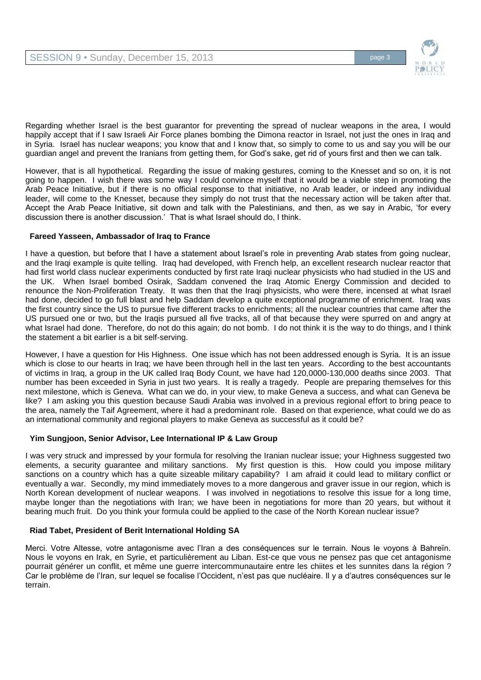

Regarding whether Israel is the best guarantor for preventing the spread of nuclear weapons in the area, I would happily accept that if I saw Israeli Air Force planes bombing the Dimona reactor in Israel, not just the ones in Iraq and in Syria. Israel has nuclear weapons; you know that and I know that, so simply to come to us and say you will be our guardian angel and prevent the Iranians from getting them, for God's sake, get rid of yours first and then we can talk.

However, that is all hypothetical. Regarding the issue of making gestures, coming to the Knesset and so on, it is not going to happen. I wish there was some way I could convince myself that it would be a viable step in promoting the Arab Peace Initiative, but if there is no official response to that initiative, no Arab leader, or indeed any individual leader, will come to the Knesset, because they simply do not trust that the necessary action will be taken after that. Accept the Arab Peace Initiative, sit down and talk with the Palestinians, and then, as we say in Arabic, 'for every discussion there is another discussion.' That is what Israel should do, I think.

# **Fareed Yasseen, Ambassador of Iraq to France**

I have a question, but before that I have a statement about Israel's role in preventing Arab states from going nuclear, and the Iraqi example is quite telling. Iraq had developed, with French help, an excellent research nuclear reactor that had first world class nuclear experiments conducted by first rate Iraqi nuclear physicists who had studied in the US and the UK. When Israel bombed Osirak, Saddam convened the Iraq Atomic Energy Commission and decided to renounce the Non-Proliferation Treaty. It was then that the Iraqi physicists, who were there, incensed at what Israel had done, decided to go full blast and help Saddam develop a quite exceptional programme of enrichment. Iraq was the first country since the US to pursue five different tracks to enrichments; all the nuclear countries that came after the US pursued one or two, but the Iraqis pursued all five tracks, all of that because they were spurred on and angry at what Israel had done. Therefore, do not do this again; do not bomb. I do not think it is the way to do things, and I think the statement a bit earlier is a bit self-serving.

However, I have a question for His Highness. One issue which has not been addressed enough is Syria. It is an issue which is close to our hearts in Iraq; we have been through hell in the last ten years. According to the best accountants of victims in Iraq, a group in the UK called Iraq Body Count, we have had 120,0000-130,000 deaths since 2003. That number has been exceeded in Syria in just two years. It is really a tragedy. People are preparing themselves for this next milestone, which is Geneva. What can we do, in your view, to make Geneva a success, and what can Geneva be like? I am asking you this question because Saudi Arabia was involved in a previous regional effort to bring peace to the area, namely the Taif Agreement, where it had a predominant role. Based on that experience, what could we do as an international community and regional players to make Geneva as successful as it could be?

# **Yim Sungjoon, Senior Advisor, Lee International IP & Law Group**

I was very struck and impressed by your formula for resolving the Iranian nuclear issue; your Highness suggested two elements, a security guarantee and military sanctions. My first question is this. How could you impose military sanctions on a country which has a quite sizeable military capability? I am afraid it could lead to military conflict or eventually a war. Secondly, my mind immediately moves to a more dangerous and graver issue in our region, which is North Korean development of nuclear weapons. I was involved in negotiations to resolve this issue for a long time, maybe longer than the negotiations with Iran; we have been in negotiations for more than 20 years, but without it bearing much fruit. Do you think your formula could be applied to the case of the North Korean nuclear issue?

# **Riad Tabet, President of Berit International Holding SA**

Merci. Votre Altesse, votre antagonisme avec l'Iran a des conséquences sur le terrain. Nous le voyons à Bahreïn. Nous le voyons en Irak, en Syrie, et particulièrement au Liban. Est-ce que vous ne pensez pas que cet antagonisme pourrait générer un conflit, et même une guerre intercommunautaire entre les chiites et les sunnites dans la région ? Car le problème de l'Iran, sur lequel se focalise l'Occident, n'est pas que nucléaire. Il y a d'autres conséquences sur le terrain.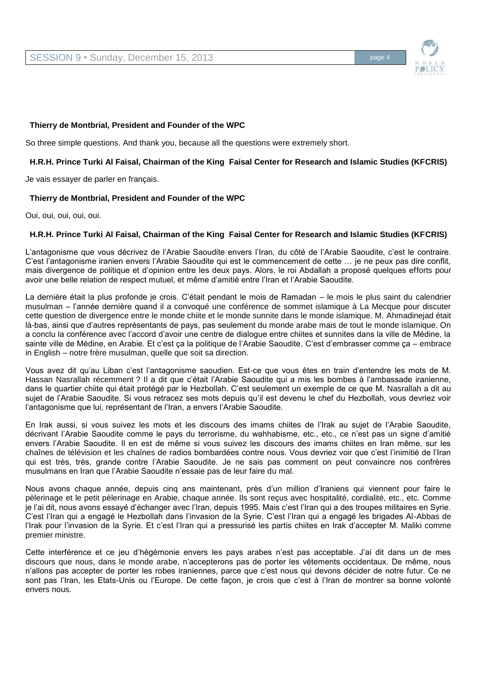

### **Thierry de Montbrial, President and Founder of the WPC**

So three simple questions. And thank you, because all the questions were extremely short.

### **H.R.H. Prince Turki Al Faisal, Chairman of the King Faisal Center for Research and Islamic Studies (KFCRIS)**

Je vais essayer de parler en français.

#### **Thierry de Montbrial, President and Founder of the WPC**

Oui, oui, oui, oui, oui.

#### **H.R.H. Prince Turki Al Faisal, Chairman of the King Faisal Center for Research and Islamic Studies (KFCRIS)**

L'antagonisme que vous décrivez de l'Arabie Saoudite envers l'Iran, du côté de l'Arabie Saoudite, c'est le contraire. C'est l'antagonisme iranien envers l'Arabie Saoudite qui est le commencement de cette … je ne peux pas dire conflit, mais divergence de politique et d'opinion entre les deux pays. Alors, le roi Abdallah a proposé quelques efforts pour avoir une belle relation de respect mutuel, et même d'amitié entre l'Iran et l'Arabie Saoudite.

La dernière était la plus profonde je crois. C'était pendant le mois de Ramadan – le mois le plus saint du calendrier musulman – l'année dernière quand il a convoqué une conférence de sommet islamique à La Mecque pour discuter cette question de divergence entre le monde chiite et le monde sunnite dans le monde islamique. M. Ahmadinejad était là-bas, ainsi que d'autres représentants de pays, pas seulement du monde arabe mais de tout le monde islamique. On a conclu la conférence avec l'accord d'avoir une centre de dialogue entre chiites et sunnites dans la ville de Médine, la sainte ville de Médine, en Arabie. Et c'est ça la politique de l'Arabie Saoudite. C'est d'embrasser comme ça – embrace in English – notre frère musulman, quelle que soit sa direction.

Vous avez dit qu'au Liban c'est l'antagonisme saoudien. Est-ce que vous êtes en train d'entendre les mots de M. Hassan Nasrallah récemment ? Il a dit que c'était l'Arabie Saoudite qui a mis les bombes à l'ambassade iranienne, dans le quartier chiite qui était protégé par le Hezbollah. C'est seulement un exemple de ce que M. Nasrallah a dit au sujet de l'Arabie Saoudite. Si vous retracez ses mots depuis qu'il est devenu le chef du Hezbollah, vous devriez voir l'antagonisme que lui, représentant de l'Iran, a envers l'Arabie Saoudite.

En Irak aussi, si vous suivez les mots et les discours des imams chiites de l'Irak au sujet de l'Arabie Saoudite, décrivant l'Arabie Saoudite comme le pays du terrorisme, du wahhabisme, etc., etc., ce n'est pas un signe d'amitié envers l'Arabie Saoudite. Il en est de même si vous suivez les discours des imams chiites en Iran même, sur les chaînes de télévision et les chaînes de radios bombardées contre nous. Vous devriez voir que c'est l'inimitié de l'Iran qui est très, très, grande contre l'Arabie Saoudite. Je ne sais pas comment on peut convaincre nos confrères musulmans en Iran que l'Arabie Saoudite n'essaie pas de leur faire du mal.

Nous avons chaque année, depuis cinq ans maintenant, près d'un million d'Iraniens qui viennent pour faire le pèlerinage et le petit pèlerinage en Arabie, chaque année. Ils sont reçus avec hospitalité, cordialité, etc., etc. Comme je l'ai dit, nous avons essayé d'échanger avec l'Iran, depuis 1995. Mais c'est l'Iran qui a des troupes militaires en Syrie. C'est l'Iran qui a engagé le Hezbollah dans l'invasion de la Syrie. C'est l'Iran qui a engagé les brigades Al-Abbas de l'Irak pour l'invasion de la Syrie. Et c'est l'Iran qui a pressurisé les partis chiites en Irak d'accepter M. Maliki comme premier ministre.

Cette interférence et ce jeu d'hégémonie envers les pays arabes n'est pas acceptable. J'ai dit dans un de mes discours que nous, dans le monde arabe, n'accepterons pas de porter les vêtements occidentaux. De même, nous n'allons pas accepter de porter les robes iraniennes, parce que c'est nous qui devons décider de notre futur. Ce ne sont pas l'Iran, les Etats-Unis ou l'Europe. De cette façon, je crois que c'est à l'Iran de montrer sa bonne volonté envers nous.